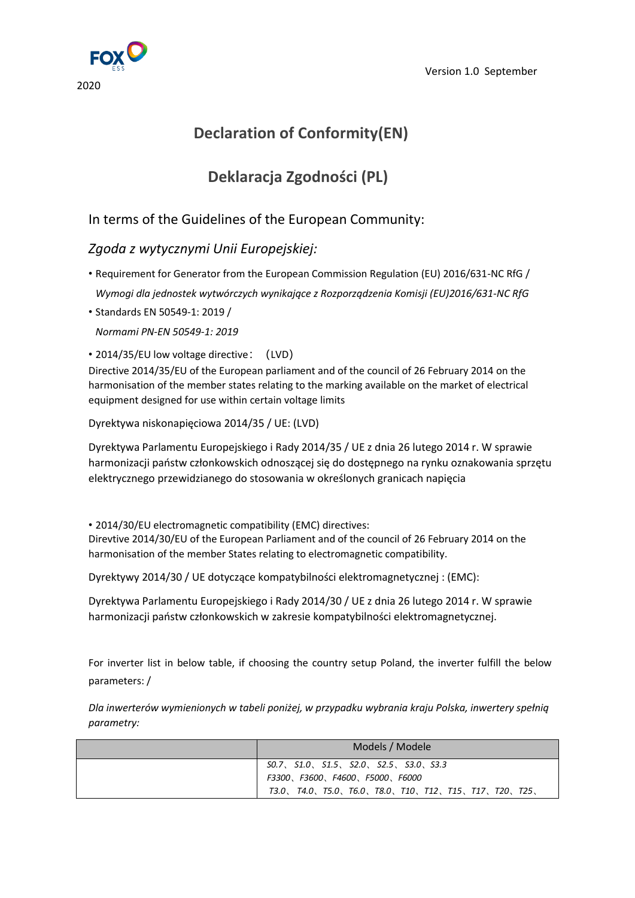

# **Declaration of Conformity(EN)**

# **Deklaracja Zgodności (PL)**

## In terms of the Guidelines of the European Community:

### *Zgoda z wytycznymi Unii Europejskiej:*

- Requirement for Generator from the European Commission Regulation (EU) 2016/631-NC RfG / *Wymogi dla jednostek wytwórczych wynikające z Rozporządzenia Komisji (EU)2016/631-NC RfG*
- Standards EN 50549-1: 2019 / *Normami PN-EN 50549-1: 2019*

#### • 2014/35/EU low voltage directive: (LVD)

Directive 2014/35/EU of the European parliament and of the council of 26 February 2014 on the harmonisation of the member states relating to the marking available on the market of electrical equipment designed for use within certain voltage limits

Dyrektywa niskonapięciowa 2014/35 / UE: (LVD)

Dyrektywa Parlamentu Europejskiego i Rady 2014/35 / UE z dnia 26 lutego 2014 r. W sprawie harmonizacji państw członkowskich odnoszącej się do dostępnego na rynku oznakowania sprzętu elektrycznego przewidzianego do stosowania w określonych granicach napięcia

• 2014/30/EU electromagnetic compatibility (EMC) directives:

Direvtive 2014/30/EU of the European Parliament and of the council of 26 February 2014 on the harmonisation of the member States relating to electromagnetic compatibility.

Dyrektywy 2014/30 / UE dotyczące kompatybilności elektromagnetycznej : (EMC):

Dyrektywa Parlamentu Europejskiego i Rady 2014/30 / UE z dnia 26 lutego 2014 r. W sprawie harmonizacji państw członkowskich w zakresie kompatybilności elektromagnetycznej.

For inverter list in below table, if choosing the country setup Poland, the inverter fulfill the below parameters: /

*Dla inwerterów wymienionych w tabeli poniżej, w przypadku wybrania kraju Polska, inwertery spełnią parametry:*

| Models / Modele                                                |  |  |
|----------------------------------------------------------------|--|--|
| $SO.7$ , $SLO$ , $SL5$ , $SLO$ , $SL5$ , $SL5$ , $SLO$ , $SL3$ |  |  |
| F3300、F3600、F4600、F5000、F6000                                  |  |  |
| T4.0、T5.0、T6.0、T8.0、T10、T12、T15、T17、T20、T25、<br>T3.O.          |  |  |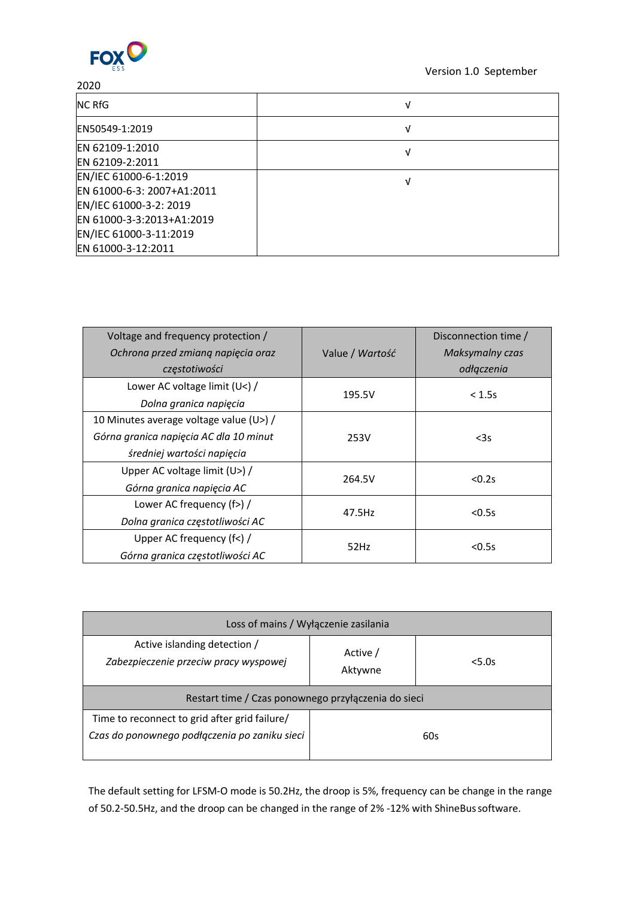

### 2020

| <b>INC RfG</b>             | ν |
|----------------------------|---|
| EN50549-1:2019             | ν |
| EN 62109-1:2010            |   |
| EN 62109-2:2011            |   |
| EN/IEC 61000-6-1:2019      | V |
| EN 61000-6-3: 2007+A1:2011 |   |
| EN/IEC 61000-3-2: 2019     |   |
| EN 61000-3-3:2013+A1:2019  |   |
| EN/IEC 61000-3-11:2019     |   |
| EN 61000-3-12:2011         |   |

| Voltage and frequency protection /      |                 | Disconnection time / |
|-----------------------------------------|-----------------|----------------------|
| Ochrona przed zmianą napięcia oraz      | Value / Wartość | Maksymalny czas      |
| częstotiwości                           |                 | odłączenia           |
| Lower AC voltage limit (U<) /           | 195.5V          | < 1.5s               |
| Dolna granica napięcia                  |                 |                      |
| 10 Minutes average voltage value (U>) / |                 |                      |
| Górna granica napięcia AC dla 10 minut  | 253V            | $3s$                 |
| średniej wartości napięcia              |                 |                      |
| Upper AC voltage limit (U>) /           | 264.5V          | < 0.2s               |
| Górna granica napięcia AC               |                 |                      |
| Lower AC frequency (f>) /               | 47.5Hz          | < 0.5s               |
| Dolna granica częstotliwości AC         |                 |                      |
| Upper AC frequency (f<) /               | 52Hz            | < 0.5s               |
| Górna granica częstotliwości AC         |                 |                      |

| Loss of mains / Wyłączenie zasilania                                                           |                     |        |  |  |
|------------------------------------------------------------------------------------------------|---------------------|--------|--|--|
| Active islanding detection /<br>Zabezpieczenie przeciw pracy wyspowej                          | Active /<br>Aktywne | < 5.0s |  |  |
| Restart time / Czas ponownego przyłączenia do sieci                                            |                     |        |  |  |
| Time to reconnect to grid after grid failure/<br>Czas do ponownego podłączenia po zaniku sieci |                     | 60s    |  |  |

The default setting for LFSM-O mode is 50.2Hz, the droop is 5%, frequency can be change in the range of 50.2-50.5Hz, and the droop can be changed in the range of 2% -12% with ShineBussoftware.